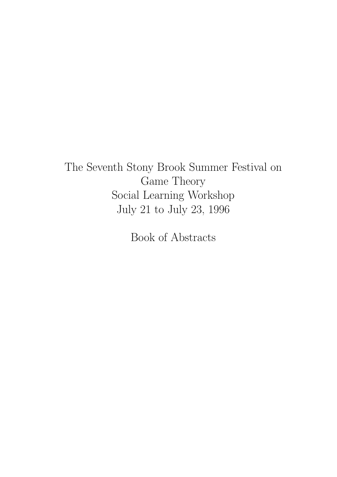The Seventh Stony Brook Summer Festival on Game Theory Social Learning Workshop July 21 to July 23, 1996

Book of Abstracts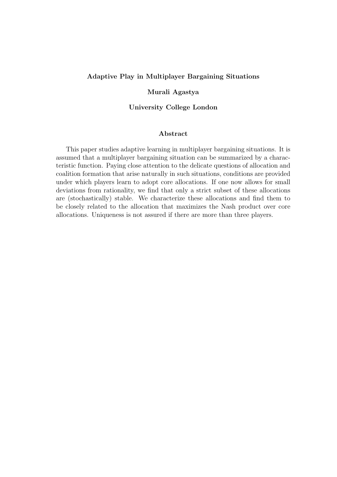### Adaptive Play in Multiplayer Bargaining Situations

### Murali Agastya

### University College London

### Abstract

This paper studies adaptive learning in multiplayer bargaining situations. It is assumed that a multiplayer bargaining situation can be summarized by a characteristic function. Paying close attention to the delicate questions of allocation and coalition formation that arise naturally in such situations, conditions are provided under which players learn to adopt core allocations. If one now allows for small deviations from rationality, we find that only a strict subset of these allocations are (stochastically) stable. We characterize these allocations and find them to be closely related to the allocation that maximizes the Nash product over core allocations. Uniqueness is not assured if there are more than three players.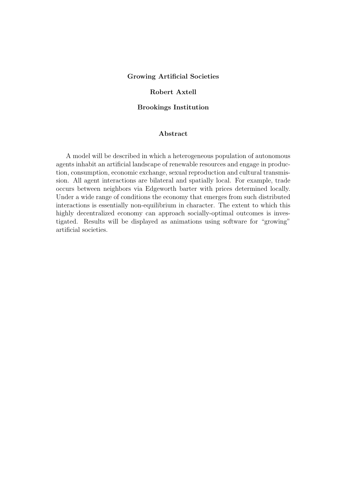### Growing Artificial Societies

### Robert Axtell

### Brookings Institution

### Abstract

A model will be described in which a heterogeneous population of autonomous agents inhabit an artificial landscape of renewable resources and engage in production, consumption, economic exchange, sexual reproduction and cultural transmission. All agent interactions are bilateral and spatially local. For example, trade occurs between neighbors via Edgeworth barter with prices determined locally. Under a wide range of conditions the economy that emerges from such distributed interactions is essentially non-equilibrium in character. The extent to which this highly decentralized economy can approach socially-optimal outcomes is investigated. Results will be displayed as animations using software for "growing" artificial societies.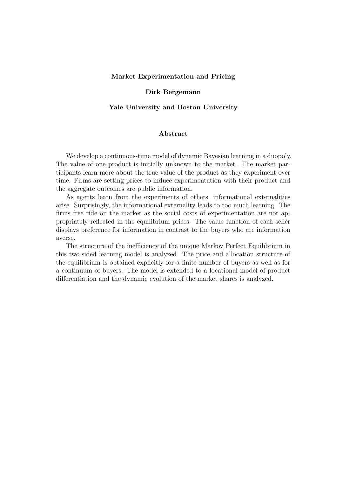### Market Experimentation and Pricing

#### Dirk Bergemann

#### Yale University and Boston University

### Abstract

We develop a continuous-time model of dynamic Bayesian learning in a duopoly. The value of one product is initially unknown to the market. The market participants learn more about the true value of the product as they experiment over time. Firms are setting prices to induce experimentation with their product and the aggregate outcomes are public information.

As agents learn from the experiments of others, informational externalities arise. Surprisingly, the informational externality leads to too much learning. The firms free ride on the market as the social costs of experimentation are not appropriately reflected in the equilibrium prices. The value function of each seller displays preference for information in contrast to the buyers who are information averse.

The structure of the inefficiency of the unique Markov Perfect Equilibrium in this two-sided learning model is analyzed. The price and allocation structure of the equilibrium is obtained explicitly for a finite number of buyers as well as for a continuum of buyers. The model is extended to a locational model of product differentiation and the dynamic evolution of the market shares is analyzed.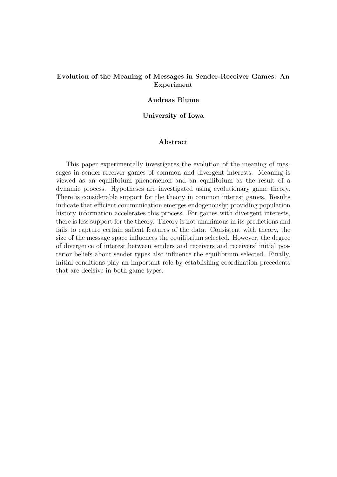### Evolution of the Meaning of Messages in Sender-Receiver Games: An Experiment

### Andreas Blume

### University of Iowa

### Abstract

This paper experimentally investigates the evolution of the meaning of messages in sender-receiver games of common and divergent interests. Meaning is viewed as an equilibrium phenomenon and an equilibrium as the result of a dynamic process. Hypotheses are investigated using evolutionary game theory. There is considerable support for the theory in common interest games. Results indicate that efficient communication emerges endogenously; providing population history information accelerates this process. For games with divergent interests, there is less support for the theory. Theory is not unanimous in its predictions and fails to capture certain salient features of the data. Consistent with theory, the size of the message space influences the equilibrium selected. However, the degree of divergence of interest between senders and receivers and receivers' initial posterior beliefs about sender types also influence the equilibrium selected. Finally, initial conditions play an important role by establishing coordination precedents that are decisive in both game types.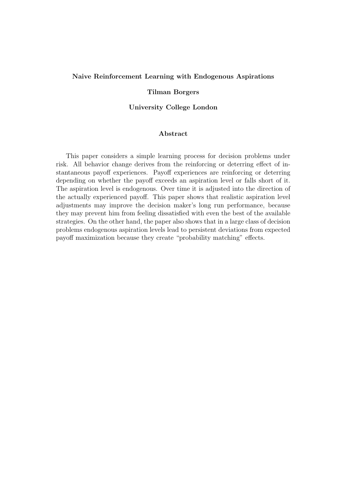#### Naive Reinforcement Learning with Endogenous Aspirations

### Tilman Borgers

### University College London

### Abstract

This paper considers a simple learning process for decision problems under risk. All behavior change derives from the reinforcing or deterring effect of instantaneous payoff experiences. Payoff experiences are reinforcing or deterring depending on whether the payoff exceeds an aspiration level or falls short of it. The aspiration level is endogenous. Over time it is adjusted into the direction of the actually experienced payoff. This paper shows that realistic aspiration level adjustments may improve the decision maker's long run performance, because they may prevent him from feeling dissatisfied with even the best of the available strategies. On the other hand, the paper also shows that in a large class of decision problems endogenous aspiration levels lead to persistent deviations from expected payoff maximization because they create "probability matching" effects.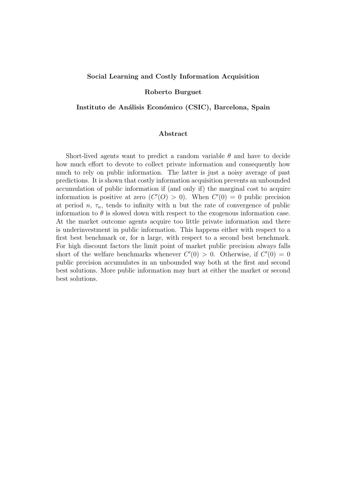#### Social Learning and Costly Information Acquisition

#### Roberto Burguet

#### Instituto de Análisis Económico (CSIC), Barcelona, Spain

### Abstract

Short-lived agents want to predict a random variable  $\theta$  and have to decide how much effort to devote to collect private information and consequently how much to rely on public information. The latter is just a noisy average of past predictions. It is shown that costly information acquisition prevents an unbounded accumulation of public information if (and only if) the marginal cost to acquire information is positive at zero  $(C'(O) > 0)$ . When  $C'(0) = 0$  public precision at period n,  $\tau_n$ , tends to infinity with n but the rate of convergence of public information to  $\theta$  is slowed down with respect to the exogenous information case. At the market outcome agents acquire too little private information and there is underinvestment in public information. This happens either with respect to a first best benchmark or, for n large, with respect to a second best benchmark. For high discount factors the limit point of market public precision always falls short of the welfare benchmarks whenever  $C'(0) > 0$ . Otherwise, if  $C'(0) = 0$ public precision accumulates in an unbounded way both at the first and second best solutions. More public information may hurt at either the market or second best solutions.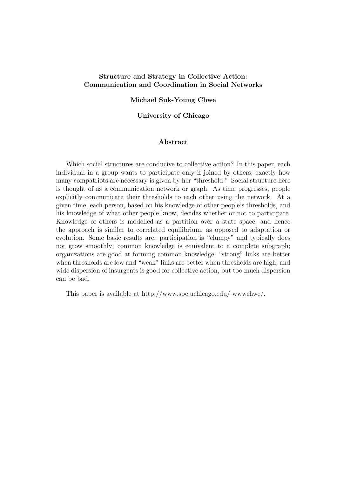### Structure and Strategy in Collective Action: Communication and Coordination in Social Networks

### Michael Suk-Young Chwe

### University of Chicago

### Abstract

Which social structures are conducive to collective action? In this paper, each individual in a group wants to participate only if joined by others; exactly how many compatriots are necessary is given by her "threshold." Social structure here is thought of as a communication network or graph. As time progresses, people explicitly communicate their thresholds to each other using the network. At a given time, each person, based on his knowledge of other people's thresholds, and his knowledge of what other people know, decides whether or not to participate. Knowledge of others is modelled as a partition over a state space, and hence the approach is similar to correlated equilibrium, as opposed to adaptation or evolution. Some basic results are: participation is "clumpy" and typically does not grow smoothly; common knowledge is equivalent to a complete subgraph; organizations are good at forming common knowledge; "strong" links are better when thresholds are low and "weak" links are better when thresholds are high; and wide dispersion of insurgents is good for collective action, but too much dispersion can be bad.

This paper is available at http://www.spc.uchicago.edu/ wwwchwe/.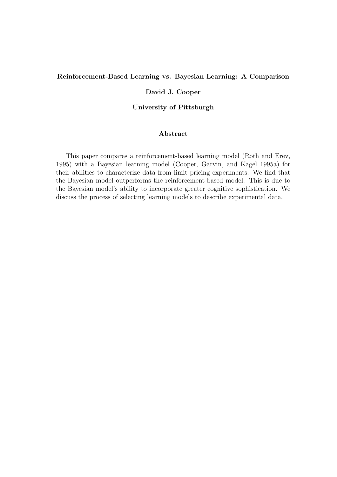### Reinforcement-Based Learning vs. Bayesian Learning: A Comparison

### David J. Cooper

### University of Pittsburgh

### Abstract

This paper compares a reinforcement-based learning model (Roth and Erev, 1995) with a Bayesian learning model (Cooper, Garvin, and Kagel 1995a) for their abilities to characterize data from limit pricing experiments. We find that the Bayesian model outperforms the reinforcement-based model. This is due to the Bayesian model's ability to incorporate greater cognitive sophistication. We discuss the process of selecting learning models to describe experimental data.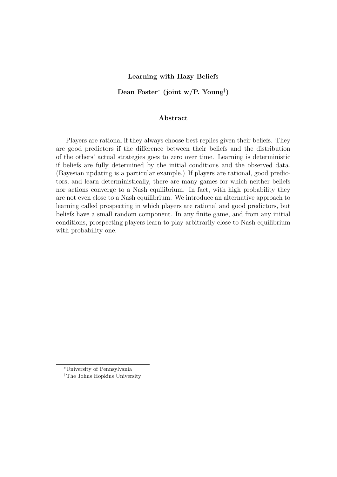### Learning with Hazy Beliefs

Dean Foster<sup>\*</sup> (joint w/P. Young<sup>†</sup>)

#### Abstract

Players are rational if they always choose best replies given their beliefs. They are good predictors if the difference between their beliefs and the distribution of the others' actual strategies goes to zero over time. Learning is deterministic if beliefs are fully determined by the initial conditions and the observed data. (Bayesian updating is a particular example.) If players are rational, good predictors, and learn deterministically, there are many games for which neither beliefs nor actions converge to a Nash equilibrium. In fact, with high probability they are not even close to a Nash equilibrium. We introduce an alternative approach to learning called prospecting in which players are rational and good predictors, but beliefs have a small random component. In any finite game, and from any initial conditions, prospecting players learn to play arbitrarily close to Nash equilibrium with probability one.

<sup>∗</sup>University of Pennsylvania

<sup>†</sup>The Johns Hopkins University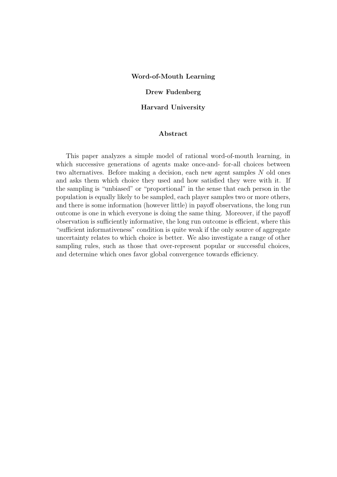#### Word-of-Mouth Learning

#### Drew Fudenberg

#### Harvard University

### Abstract

This paper analyzes a simple model of rational word-of-mouth learning, in which successive generations of agents make once-and- for-all choices between two alternatives. Before making a decision, each new agent samples N old ones and asks them which choice they used and how satisfied they were with it. If the sampling is "unbiased" or "proportional" in the sense that each person in the population is equally likely to be sampled, each player samples two or more others, and there is some information (however little) in payoff observations, the long run outcome is one in which everyone is doing the same thing. Moreover, if the payoff observation is sufficiently informative, the long run outcome is efficient, where this "sufficient informativeness" condition is quite weak if the only source of aggregate uncertainty relates to which choice is better. We also investigate a range of other sampling rules, such as those that over-represent popular or successful choices, and determine which ones favor global convergence towards efficiency.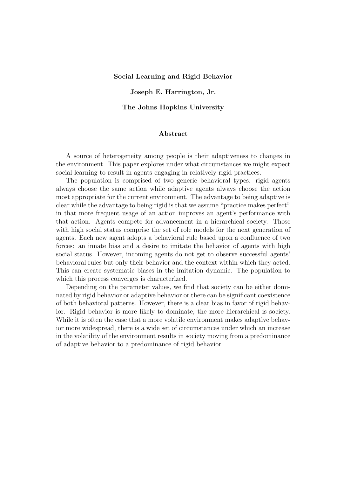### Social Learning and Rigid Behavior

#### Joseph E. Harrington, Jr.

#### The Johns Hopkins University

### Abstract

A source of heterogeneity among people is their adaptiveness to changes in the environment. This paper explores under what circumstances we might expect social learning to result in agents engaging in relatively rigid practices.

The population is comprised of two generic behavioral types: rigid agents always choose the same action while adaptive agents always choose the action most appropriate for the current environment. The advantage to being adaptive is clear while the advantage to being rigid is that we assume "practice makes perfect" in that more frequent usage of an action improves an agent's performance with that action. Agents compete for advancement in a hierarchical society. Those with high social status comprise the set of role models for the next generation of agents. Each new agent adopts a behavioral rule based upon a confluence of two forces: an innate bias and a desire to imitate the behavior of agents with high social status. However, incoming agents do not get to observe successful agents' behavioral rules but only their behavior and the context within which they acted. This can create systematic biases in the imitation dynamic. The population to which this process converges is characterized.

Depending on the parameter values, we find that society can be either dominated by rigid behavior or adaptive behavior or there can be significant coexistence of both behavioral patterns. However, there is a clear bias in favor of rigid behavior. Rigid behavior is more likely to dominate, the more hierarchical is society. While it is often the case that a more volatile environment makes adaptive behavior more widespread, there is a wide set of circumstances under which an increase in the volatility of the environment results in society moving from a predominance of adaptive behavior to a predominance of rigid behavior.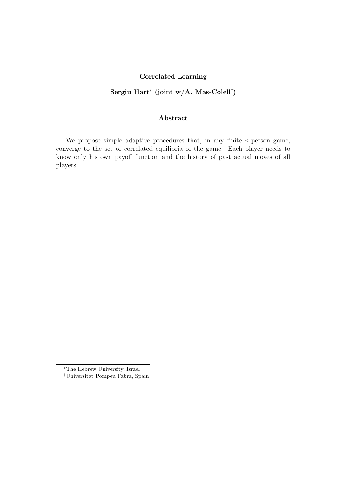### Correlated Learning

# Sergiu Hart<sup>∗</sup> (joint w/A. Mas-Colell† )

### Abstract

We propose simple adaptive procedures that, in any finite  $n$ -person game, converge to the set of correlated equilibria of the game. Each player needs to know only his own payoff function and the history of past actual moves of all players.

<sup>∗</sup>The Hebrew University, Israel

<sup>†</sup>Universitat Pompeu Fabra, Spain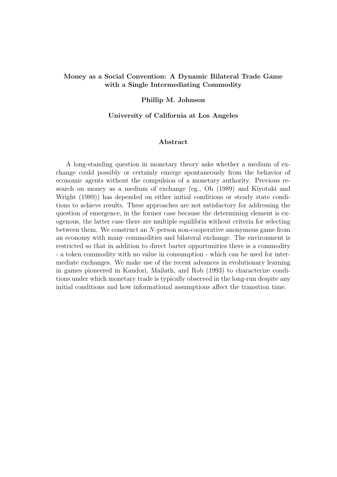### Money as a Social Convention: A Dynamic Bilateral Trade Game with a Single Intermediating Commodity

### Phillip M. Johnson

#### University of California at Los Angeles

### Abstract

A long-standing question in monetary theory asks whether a medium of exchange could possibly or certainly emerge spontaneously from the behavior of economic agents without the compulsion of a monetary authority. Previous research on money as a medium of exchange (eg., Oh (1989) and Kiyotaki and Wright (1989)) has depended on either initial conditions or steady state conditions to achieve results. These approaches are not satisfactory for addressing the question of emergence, in the former case because the determining element is exogenous, the latter case there are multiple equilibria without criteria for selecting between them. We construct an N-person non-cooperative anonymous game from an economy with many commodities and bilateral exchange. The environment is restricted so that in addition to direct barter opportunities there is a commodity - a token commodity with no value in consumption - which can be used for intermediate exchanges. We make use of the recent advances in evolutionary learning in games pioneered in Kandori, Mailath, and Rob (1993) to characterize conditions under which monetary trade is typically observed in the long-run despite any initial conditions and how informational assumptions affect the transition time.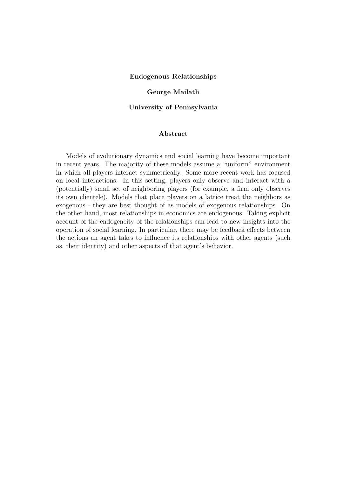#### Endogenous Relationships

### George Mailath

#### University of Pennsylvania

### Abstract

Models of evolutionary dynamics and social learning have become important in recent years. The majority of these models assume a "uniform" environment in which all players interact symmetrically. Some more recent work has focused on local interactions. In this setting, players only observe and interact with a (potentially) small set of neighboring players (for example, a firm only observes its own clientele). Models that place players on a lattice treat the neighbors as exogenous - they are best thought of as models of exogenous relationships. On the other hand, most relationships in economics are endogenous. Taking explicit account of the endogeneity of the relationships can lead to new insights into the operation of social learning. In particular, there may be feedback effects between the actions an agent takes to influence its relationships with other agents (such as, their identity) and other aspects of that agent's behavior.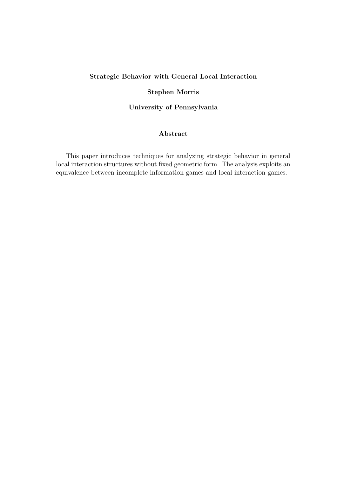# Strategic Behavior with General Local Interaction

### Stephen Morris

University of Pennsylvania

### Abstract

This paper introduces techniques for analyzing strategic behavior in general local interaction structures without fixed geometric form. The analysis exploits an equivalence between incomplete information games and local interaction games.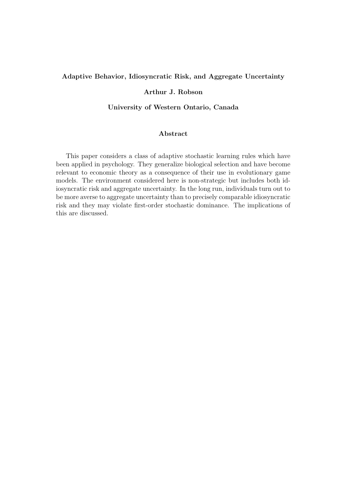### Adaptive Behavior, Idiosyncratic Risk, and Aggregate Uncertainty

### Arthur J. Robson

### University of Western Ontario, Canada

### Abstract

This paper considers a class of adaptive stochastic learning rules which have been applied in psychology. They generalize biological selection and have become relevant to economic theory as a consequence of their use in evolutionary game models. The environment considered here is non-strategic but includes both idiosyncratic risk and aggregate uncertainty. In the long run, individuals turn out to be more averse to aggregate uncertainty than to precisely comparable idiosyncratic risk and they may violate first-order stochastic dominance. The implications of this are discussed.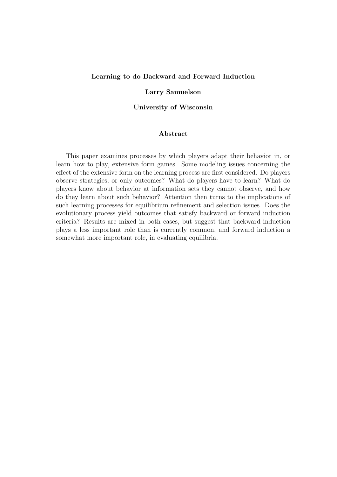#### Learning to do Backward and Forward Induction

#### Larry Samuelson

### University of Wisconsin

### Abstract

This paper examines processes by which players adapt their behavior in, or learn how to play, extensive form games. Some modeling issues concerning the effect of the extensive form on the learning process are first considered. Do players observe strategies, or only outcomes? What do players have to learn? What do players know about behavior at information sets they cannot observe, and how do they learn about such behavior? Attention then turns to the implications of such learning processes for equilibrium refinement and selection issues. Does the evolutionary process yield outcomes that satisfy backward or forward induction criteria? Results are mixed in both cases, but suggest that backward induction plays a less important role than is currently common, and forward induction a somewhat more important role, in evaluating equilibria.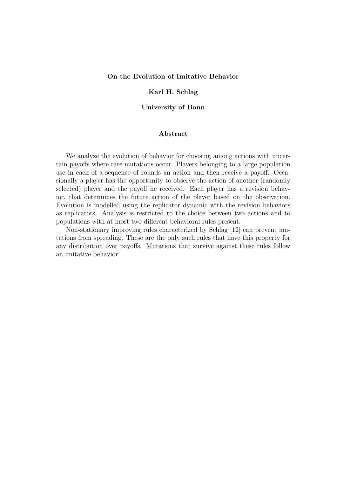#### On the Evolution of Imitative Behavior

### Karl H. Schlag

#### University of Bonn

### Abstract

We analyze the evolution of behavior for choosing among actions with uncertain payoffs where rare mutations occur. Players belonging to a large population use in each of a sequence of rounds an action and then receive a payoff. Occasionally a player has the opportunity to observe the action of another (randomly selected) player and the payoff he received. Each player has a revision behavior, that determines the future action of the player based on the observation. Evolution is modelled using the replicator dynamic with the revision behaviors as replicators. Analysis is restricted to the choice between two actions and to populations with at most two different behavioral rules present.

Non-stationary improving rules characterized by Schlag [12] can prevent mutations from spreading. These are the only such rules that have this property for any distribution over payoffs. Mutations that survive against these rules follow an imitative behavior.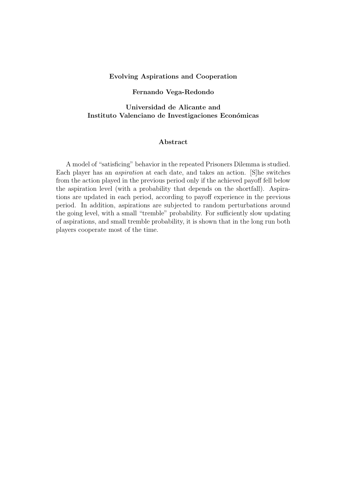#### Evolving Aspirations and Cooperation

### Fernando Vega-Redondo

# Universidad de Alicante and Instituto Valenciano de Investigaciones Económicas

### Abstract

A model of "satisficing" behavior in the repeated Prisoners Dilemma is studied. Each player has an aspiration at each date, and takes an action. [S]he switches from the action played in the previous period only if the achieved payoff fell below the aspiration level (with a probability that depends on the shortfall). Aspirations are updated in each period, according to payoff experience in the previous period. In addition, aspirations are subjected to random perturbations around the going level, with a small "tremble" probability. For sufficiently slow updating of aspirations, and small tremble probability, it is shown that in the long run both players cooperate most of the time.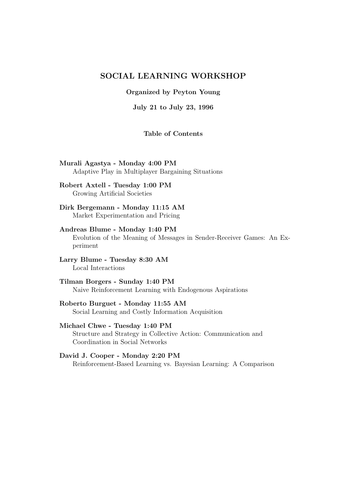# SOCIAL LEARNING WORKSHOP

Organized by Peyton Young

July 21 to July 23, 1996

### Table of Contents

Murali Agastya - Monday 4:00 PM Adaptive Play in Multiplayer Bargaining Situations

### Robert Axtell - Tuesday 1:00 PM Growing Artificial Societies

### Dirk Bergemann - Monday 11:15 AM Market Experimentation and Pricing

# Andreas Blume - Monday 1:40 PM

Evolution of the Meaning of Messages in Sender-Receiver Games: An Experiment

### Larry Blume - Tuesday 8:30 AM Local Interactions

### Tilman Borgers - Sunday 1:40 PM Naive Reinforcement Learning with Endogenous Aspirations

### Roberto Burguet - Monday 11:55 AM Social Learning and Costly Information Acquisition

# Michael Chwe - Tuesday 1:40 PM Structure and Strategy in Collective Action: Communication and Coordination in Social Networks

### David J. Cooper - Monday 2:20 PM Reinforcement-Based Learning vs. Bayesian Learning: A Comparison